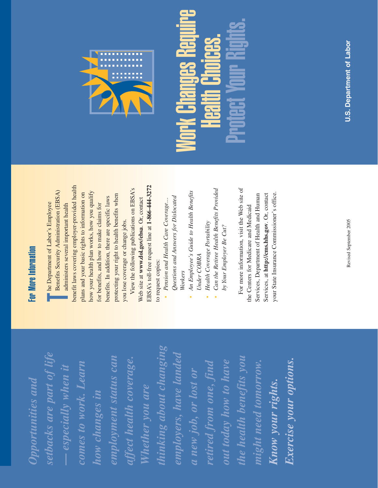thinking about changing *thinking about changing* setbacks are part of life *setbacks are part of life* employers, have landed *employers, have landed* employment status can the health benefits you affect health coverage. *employment status can the health benefits you affect health coverage.* out today how to have Exercise your options. *Exercise your options.* retired from one, find might need tomorrow. comes to work. Learn *retired from one, find out today how to have might need tomorrow.*  $-$  especially when it *comes to work. Learn — especially when it* a new job, or lost or *a new job, or lost or* Opportunities and *Opportunities and* Know your rights. *Know your rights.* Whether you are *Whether you are* how changes in *how changes in*

### **For More Information** For More Information

benefit laws covering employer-provided health benefit laws covering employer-provided health View the following publications on EBSA's Benefits Security Administration (EBSA) View the following publications on EBSA's how your health plan works, how you qualify **H** he Department of Labor's Employee<br>Benefits Security Administration (EBSA)<br>administers several important health plans and your basic rights to information on how your health plan works, how you qualify plans and your basic rights to information on protecting your right to health benefits when protecting your right to health benefits when benefits. In addition, there are specific laws benefits. In addition, there are specific laws The Department of Labor's Employee for benefits, and how to make claims for administers several important health for benefits, and how to make claims for you lose coverage or change jobs. you lose coverage or change jobs.

EBSA's toll-free request line at 1-866-444-3272 EBSA's toll-free request line at **1-866-444-3272** Web site at www.dol.gov/ebsa. Or, contact Web site at **www.dol.gov/ebsa**. Or, contact to request copies: to request copies:

- Questions and Answers for Dislocated *Questions and Answers for Dislocated* • Pension and Health Care Coverage... *Pension and Health Care Coverage… Workers*
- An Employee's Guide to Health Benefits *An Employee's Guide to Health Benefits* Under COBRA *Under COBRA*
- **Health Coverage Portability** *Health Coverage Portability*
- Can the Retiree Health Benefits Provided *Can the Retiree Health Benefits Provided* by Your Employer Be Cut? *by Your Employer Be Cut?*

For more information, visit the Web site of For more information, visit the Web site of your State Insurance Commissioner's office. Services, at http://cms.hhs.gov. Or, contact your State Insurance Commissioner's office. Services, Department of Health and Human Services, Department of Health and Human Services, at **http://cms.hhs.gov**. Or, contact the Centers for Medicare and Medicaid the Centers for Medicare and Medicaid



# Work Changes Require **Vork Changes Require** Protect Your Rights. Health Choices.

Revised September 2005 Revised September 2005

**U.S. Department of Labor U.S. Department of Labor**